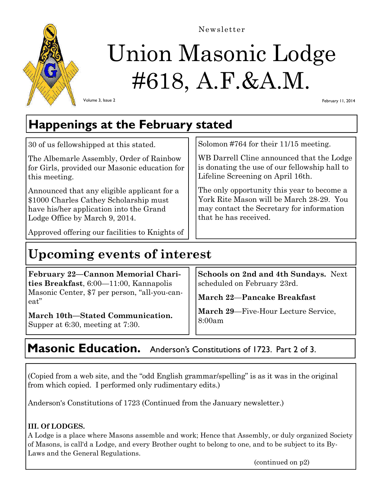

Newsletter

# Union Masonic Lodge #618, A.F.&A.M.

Volume 3, Issue 2

February 11, 2014

# **Happenings at the February stated**

| 30 of us fellowshipped at this stated.         | Solomon #764 for their 11/15 meeting.         |
|------------------------------------------------|-----------------------------------------------|
| The Albemarle Assembly, Order of Rainbow       | WB Darrell Cline announced that the Lodge     |
| for Girls, provided our Masonic education for  | is donating the use of our fellowship hall to |
| this meeting.                                  | Lifeline Screening on April 16th.             |
| Announced that any eligible applicant for a    | The only opportunity this year to become a    |
| \$1000 Charles Cathey Scholarship must         | York Rite Mason will be March 28-29. You      |
| have his/her application into the Grand        | may contact the Secretary for information     |
| Lodge Office by March 9, 2014.                 | that he has received.                         |
| Approved offering our facilities to Knights of |                                               |

## **Upcoming events of interest**

| February 22—Cannon Memorial Chari-<br>ties Breakfast, 6:00-11:00, Kannapolis<br>Masonic Center, \$7 per person, "all-you-can-<br>eat" | Schools on 2nd and 4th Sundays. Next<br>scheduled on February 23rd.<br>March 22-Pancake Breakfast |
|---------------------------------------------------------------------------------------------------------------------------------------|---------------------------------------------------------------------------------------------------|
| March 10th–Stated Communication.                                                                                                      | March 29-Five-Hour Lecture Service,                                                               |
| Supper at 6:30, meeting at 7:30.                                                                                                      | 8:00am                                                                                            |

### **Masonic Education.** Anderson's Constitutions of 1723. Part 2 of 3.

(Copied from a web site, and the "odd English grammar/spelling" is as it was in the original from which copied. I performed only rudimentary edits.)

Anderson's Constitutions of 1723 (Continued from the January newsletter.)

#### **III. Of LODGES.**

A Lodge is a place where Masons assemble and work; Hence that Assembly, or duly organized Society of Masons, is call'd a Lodge, and every Brother ought to belong to one, and to be subject to its By-Laws and the General Regulations.

(continued on p2)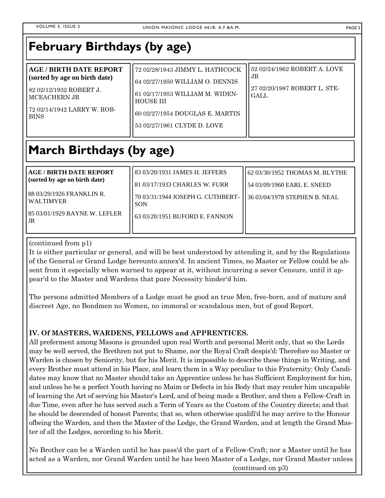| February Birthdays (by age)                              |                                                                    |                                             |  |  |
|----------------------------------------------------------|--------------------------------------------------------------------|---------------------------------------------|--|--|
| AGE / BIRTH DATE REPORT<br>(sorted by age on birth date) | 72 02/28/1943 JIMMY L. HATHCOCK<br>64 02/27/1950 WILLIAM O. DENNIS | 52 02/24/1962 ROBERT A. LOVE<br> JR         |  |  |
| l 82 02/12/1932 ROBERT J.<br>l MCEACHERN JR              | 61 02/17/1953 WILLIAM M. WIDEN-<br><b>HOUSE III</b>                | 27 02/20/1987 ROBERT L. STE-<br><b>GALL</b> |  |  |
| 172 02/14/1942 LARRY W. ROB-<br>l BINS                   | 60 02/27/1954 DOUGLAS E. MARTIN<br>53 02/27/1961 CLYDE D. LOVE     |                                             |  |  |
|                                                          |                                                                    |                                             |  |  |

### **March Birthdays (by age)**

| AGE / BIRTH DATE REPORT                       | 83 03/20/1931 JAMES H. JEFFERS             | 162 03/30/1952 THOMAS M. BLYTHE |
|-----------------------------------------------|--------------------------------------------|---------------------------------|
| (sorted by age on birth date)                 | 81 03/17/1933 CHARLES W. FURR              | 54 03/09/1960 EARL E. SNEED     |
| 88 03/29/1926 FRANKLIN R.<br><b>WALTIMYER</b> | 70 03/31/1944 JOSEPH G. CUTHBERT-<br>I SON | 36 03/04/1978 STEPHEN B. NEAL   |
| l 85 03/01/1929 BAYNE W. LEFLER-<br>JR        | 63 03/20/1951 BUFORD E. FANNON             |                                 |

#### (continued from p1)

It is either particular or general, and will be best understood by attending it, and by the Regulations of the General or Grand Lodge hereunto annex'd. In ancient Times, no Master or Fellow could be absent from it especially when warned to appear at it, without incurring a sever Censure, until it appear'd to the Master and Wardens that pure Necessity hinder'd him.

The persons admitted Members of a Lodge must be good an true Men, free-born, and of mature and discreet Age, no Bondmen no Women, no immoral or scandalous men, but of good Report.

#### **IV. Of MASTERS, WARDENS, FELLOWS and APPRENTICES.**

All preferment among Masons is grounded upon real Worth and personal Merit only, that so the Lords may be well served, the Brethren not put to Shame, nor the Royal Craft despis'd: Therefore no Master or Warden is chosen by Seniority, but for his Merit. It is impossible to describe these things in Writing, and every Brother must attend in his Place, and learn them in a Way peculiar to this Fraternity: Only Candidates may know that no Master should take an Apprentice unless he has Sufficient Employment for him, and unless he be a perfect Youth having no Maim or Defects in his Body that may render him uncapable of learning the Art of serving his Master's Lord, and of being made a Brother, and then a Fellow-Craft in due Time, even after he has served such a Term of Years as the Custom of the Country directs; and that he should be descended of honest Parents; that so, when otherwise qualifi'd he may arrive to the Honour ofbeing the Warden, and then the Master of the Lodge, the Grand Warden, and at length the Grand Master of all the Lodges, according to his Merit.

No Brother can be a Warden until he has pass'd the part of a Fellow-Craft; nor a Master until he has acted as a Warden, nor Grand Warden until he has been Master of a Lodge, nor Grand Master unless (continued on p3)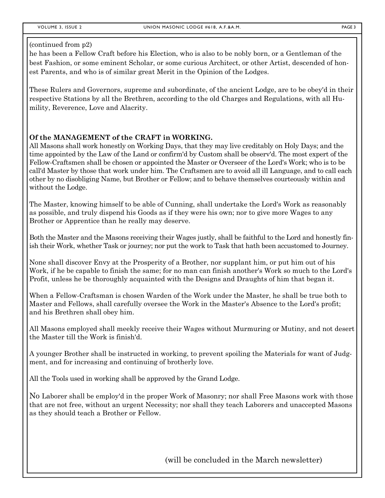#### (continued from p2)

he has been a Fellow Craft before his Election, who is also to be nobly born, or a Gentleman of the best Fashion, or some eminent Scholar, or some curious Architect, or other Artist, descended of honest Parents, and who is of similar great Merit in the Opinion of the Lodges.

These Rulers and Governors, supreme and subordinate, of the ancient Lodge, are to be obey'd in their respective Stations by all the Brethren, according to the old Charges and Regulations, with all Humility, Reverence, Love and Alacrity.

#### **Of the MANAGEMENT of the CRAFT in WORKING.**

All Masons shall work honestly on Working Days, that they may live creditably on Holy Days; and the time appointed by the Law of the Land or confirm'd by Custom shall be observ'd. The most expert of the Fellow-Craftsmen shall be chosen or appointed the Master or Overseer of the Lord's Work; who is to be call'd Master by those that work under him. The Craftsmen are to avoid all ill Language, and to call each other by no disobliging Name, but Brother or Fellow; and to behave themselves courteously within and without the Lodge.

The Master, knowing himself to be able of Cunning, shall undertake the Lord's Work as reasonably as possible, and truly dispend his Goods as if they were his own; nor to give more Wages to any Brother or Apprentice than he really may deserve.

Both the Master and the Masons receiving their Wages justly, shall be faithful to the Lord and honestly finish their Work, whether Task or journey; nor put the work to Task that hath been accustomed to Journey.

None shall discover Envy at the Prosperity of a Brother, nor supplant him, or put him out of his Work, if he be capable to finish the same; for no man can finish another's Work so much to the Lord's Profit, unless he be thoroughly acquainted with the Designs and Draughts of him that began it.

When a Fellow-Craftsman is chosen Warden of the Work under the Master, he shall be true both to Master and Fellows, shall carefully oversee the Work in the Master's Absence to the Lord's profit; and his Brethren shall obey him.

All Masons employed shall meekly receive their Wages without Murmuring or Mutiny, and not desert the Master till the Work is finish'd.

A younger Brother shall be instructed in working, to prevent spoiling the Materials for want of Judgment, and for increasing and continuing of brotherly love.

All the Tools used in working shall be approved by the Grand Lodge.

No Laborer shall be employ'd in the proper Work of Masonry; nor shall Free Masons work with those that are not free, without an urgent Necessity; nor shall they teach Laborers and unaccepted Masons as they should teach a Brother or Fellow.

(will be concluded in the March newsletter)